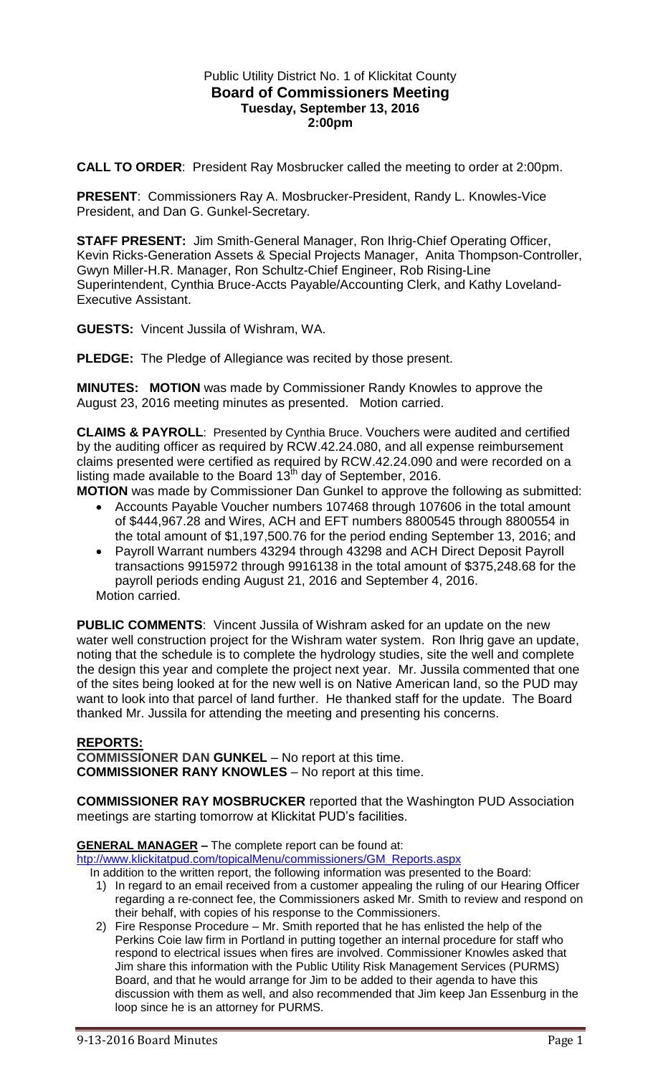## Public Utility District No. 1 of Klickitat County **Board of Commissioners Meeting Tuesday, September 13, 2016 2:00pm**

**CALL TO ORDER**: President Ray Mosbrucker called the meeting to order at 2:00pm.

**PRESENT**: Commissioners Ray A. Mosbrucker-President, Randy L. Knowles-Vice President, and Dan G. Gunkel-Secretary.

**STAFF PRESENT:** Jim Smith-General Manager, Ron Ihrig-Chief Operating Officer, Kevin Ricks-Generation Assets & Special Projects Manager, Anita Thompson-Controller, Gwyn Miller-H.R. Manager, Ron Schultz-Chief Engineer, Rob Rising-Line Superintendent, Cynthia Bruce-Accts Payable/Accounting Clerk, and Kathy Loveland-Executive Assistant.

**GUESTS:** Vincent Jussila of Wishram, WA.

**PLEDGE:** The Pledge of Allegiance was recited by those present.

**MINUTES: MOTION** was made by Commissioner Randy Knowles to approve the August 23, 2016 meeting minutes as presented. Motion carried.

**CLAIMS & PAYROLL**: Presented by Cynthia Bruce. Vouchers were audited and certified by the auditing officer as required by RCW.42.24.080, and all expense reimbursement claims presented were certified as required by RCW.42.24.090 and were recorded on a listing made available to the Board  $13<sup>th</sup>$  day of September, 2016.

**MOTION** was made by Commissioner Dan Gunkel to approve the following as submitted:

- Accounts Payable Voucher numbers 107468 through 107606 in the total amount of \$444,967.28 and Wires, ACH and EFT numbers 8800545 through 8800554 in the total amount of \$1,197,500.76 for the period ending September 13, 2016; and
- Payroll Warrant numbers 43294 through 43298 and ACH Direct Deposit Payroll transactions 9915972 through 9916138 in the total amount of \$375,248.68 for the payroll periods ending August 21, 2016 and September 4, 2016. Motion carried.

**PUBLIC COMMENTS**: Vincent Jussila of Wishram asked for an update on the new water well construction project for the Wishram water system. Ron Ihrig gave an update, noting that the schedule is to complete the hydrology studies, site the well and complete the design this year and complete the project next year. Mr. Jussila commented that one of the sites being looked at for the new well is on Native American land, so the PUD may want to look into that parcel of land further. He thanked staff for the update. The Board thanked Mr. Jussila for attending the meeting and presenting his concerns.

## **REPORTS:**

**COMMISSIONER DAN GUNKEL** – No report at this time. **COMMISSIONER RANY KNOWLES** – No report at this time.

**COMMISSIONER RAY MOSBRUCKER** reported that the Washington PUD Association meetings are starting tomorrow at Klickitat PUD's facilities.

**GENERAL MANAGER –** The complete report can be found at:

[htp://www.klickitatpud.com/topicalMenu/commissioners/GM\\_Reports.aspx](http://www.klickitatpud.com/topicalMenu/commissioners/GM_Reports.aspx)

- In addition to the written report, the following information was presented to the Board: 1) In regard to an email received from a customer appealing the ruling of our Hearing Officer regarding a re-connect fee, the Commissioners asked Mr. Smith to review and respond on their behalf, with copies of his response to the Commissioners.
	- 2) Fire Response Procedure Mr. Smith reported that he has enlisted the help of the Perkins Coie law firm in Portland in putting together an internal procedure for staff who respond to electrical issues when fires are involved. Commissioner Knowles asked that Jim share this information with the Public Utility Risk Management Services (PURMS) Board, and that he would arrange for Jim to be added to their agenda to have this discussion with them as well, and also recommended that Jim keep Jan Essenburg in the loop since he is an attorney for PURMS.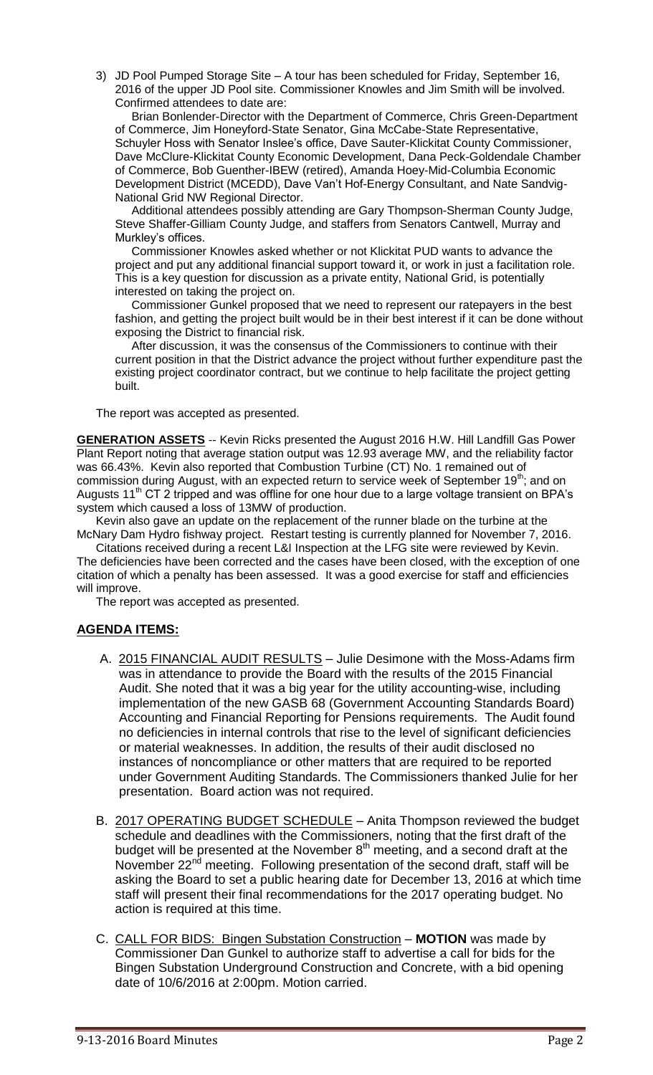3) JD Pool Pumped Storage Site – A tour has been scheduled for Friday, September 16, 2016 of the upper JD Pool site. Commissioner Knowles and Jim Smith will be involved. Confirmed attendees to date are:

 Brian Bonlender-Director with the Department of Commerce, Chris Green-Department of Commerce, Jim Honeyford-State Senator, Gina McCabe-State Representative, Schuyler Hoss with Senator Inslee's office, Dave Sauter-Klickitat County Commissioner, Dave McClure-Klickitat County Economic Development, Dana Peck-Goldendale Chamber of Commerce, Bob Guenther-IBEW (retired), Amanda Hoey-Mid-Columbia Economic Development District (MCEDD), Dave Van't Hof-Energy Consultant, and Nate Sandvig-National Grid NW Regional Director.

 Additional attendees possibly attending are Gary Thompson-Sherman County Judge, Steve Shaffer-Gilliam County Judge, and staffers from Senators Cantwell, Murray and Murkley's offices.

 Commissioner Knowles asked whether or not Klickitat PUD wants to advance the project and put any additional financial support toward it, or work in just a facilitation role. This is a key question for discussion as a private entity, National Grid, is potentially interested on taking the project on.

 Commissioner Gunkel proposed that we need to represent our ratepayers in the best fashion, and getting the project built would be in their best interest if it can be done without exposing the District to financial risk.

 After discussion, it was the consensus of the Commissioners to continue with their current position in that the District advance the project without further expenditure past the existing project coordinator contract, but we continue to help facilitate the project getting built.

The report was accepted as presented.

**GENERATION ASSETS** -- Kevin Ricks presented the August 2016 H.W. Hill Landfill Gas Power Plant Report noting that average station output was 12.93 average MW, and the reliability factor was 66.43%. Kevin also reported that Combustion Turbine (CT) No. 1 remained out of commission during August, with an expected return to service week of September 19<sup>th</sup>; and on Augusts  $11<sup>th</sup>$  CT 2 tripped and was offline for one hour due to a large voltage transient on BPA's system which caused a loss of 13MW of production.

Kevin also gave an update on the replacement of the runner blade on the turbine at the McNary Dam Hydro fishway project. Restart testing is currently planned for November 7, 2016.

Citations received during a recent L&I Inspection at the LFG site were reviewed by Kevin. The deficiencies have been corrected and the cases have been closed, with the exception of one citation of which a penalty has been assessed. It was a good exercise for staff and efficiencies will improve.

The report was accepted as presented.

## **AGENDA ITEMS:**

- A. 2015 FINANCIAL AUDIT RESULTS Julie Desimone with the Moss-Adams firm was in attendance to provide the Board with the results of the 2015 Financial Audit. She noted that it was a big year for the utility accounting-wise, including implementation of the new GASB 68 (Government Accounting Standards Board) Accounting and Financial Reporting for Pensions requirements. The Audit found no deficiencies in internal controls that rise to the level of significant deficiencies or material weaknesses. In addition, the results of their audit disclosed no instances of noncompliance or other matters that are required to be reported under Government Auditing Standards. The Commissioners thanked Julie for her presentation. Board action was not required.
- B. 2017 OPERATING BUDGET SCHEDULE Anita Thompson reviewed the budget schedule and deadlines with the Commissioners, noting that the first draft of the budget will be presented at the November  $8<sup>th</sup>$  meeting, and a second draft at the November 22<sup>nd</sup> meeting. Following presentation of the second draft, staff will be asking the Board to set a public hearing date for December 13, 2016 at which time staff will present their final recommendations for the 2017 operating budget. No action is required at this time.
- C. CALL FOR BIDS: Bingen Substation Construction **MOTION** was made by Commissioner Dan Gunkel to authorize staff to advertise a call for bids for the Bingen Substation Underground Construction and Concrete, with a bid opening date of 10/6/2016 at 2:00pm. Motion carried.